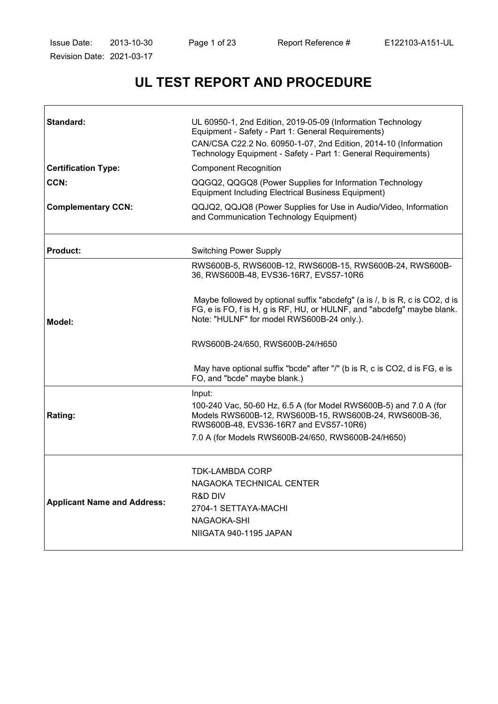$\mathsf{r}$ 

 $\overline{\phantom{0}}$ 

# **UL TEST REPORT AND PROCEDURE**

| Standard:                          | UL 60950-1, 2nd Edition, 2019-05-09 (Information Technology<br>Equipment - Safety - Part 1: General Requirements)<br>CAN/CSA C22.2 No. 60950-1-07, 2nd Edition, 2014-10 (Information<br>Technology Equipment - Safety - Part 1: General Requirements) |  |
|------------------------------------|-------------------------------------------------------------------------------------------------------------------------------------------------------------------------------------------------------------------------------------------------------|--|
| <b>Certification Type:</b>         | <b>Component Recognition</b>                                                                                                                                                                                                                          |  |
| CCN:                               | QQGQ2, QQGQ8 (Power Supplies for Information Technology<br><b>Equipment Including Electrical Business Equipment)</b>                                                                                                                                  |  |
| <b>Complementary CCN:</b>          | QQJQ2, QQJQ8 (Power Supplies for Use in Audio/Video, Information<br>and Communication Technology Equipment)                                                                                                                                           |  |
| <b>Product:</b>                    | <b>Switching Power Supply</b>                                                                                                                                                                                                                         |  |
|                                    | RWS600B-5, RWS600B-12, RWS600B-15, RWS600B-24, RWS600B-<br>36, RWS600B-48, EVS36-16R7, EVS57-10R6                                                                                                                                                     |  |
| Model:                             | Maybe followed by optional suffix "abcdefg" (a is /, b is R, c is CO2, d is<br>FG, e is FO, f is H, g is RF, HU, or HULNF, and "abcdefg" maybe blank.<br>Note: "HULNF" for model RWS600B-24 only.).                                                   |  |
|                                    | RWS600B-24/650, RWS600B-24/H650                                                                                                                                                                                                                       |  |
|                                    | May have optional suffix "bcde" after "/" (b is R, c is CO2, d is FG, e is<br>FO, and "bcde" maybe blank.)                                                                                                                                            |  |
| Rating:                            | Input:<br>100-240 Vac, 50-60 Hz, 6.5 A (for Model RWS600B-5) and 7.0 A (for<br>Models RWS600B-12, RWS600B-15, RWS600B-24, RWS600B-36,<br>RWS600B-48, EVS36-16R7 and EVS57-10R6)<br>7.0 A (for Models RWS600B-24/650, RWS600B-24/H650)                 |  |
|                                    |                                                                                                                                                                                                                                                       |  |
| <b>Applicant Name and Address:</b> | <b>TDK-LAMBDA CORP</b><br>NAGAOKA TECHNICAL CENTER<br>R&D DIV<br>2704-1 SETTAYA-MACHI                                                                                                                                                                 |  |
|                                    | NAGAOKA-SHI<br>NIIGATA 940-1195 JAPAN                                                                                                                                                                                                                 |  |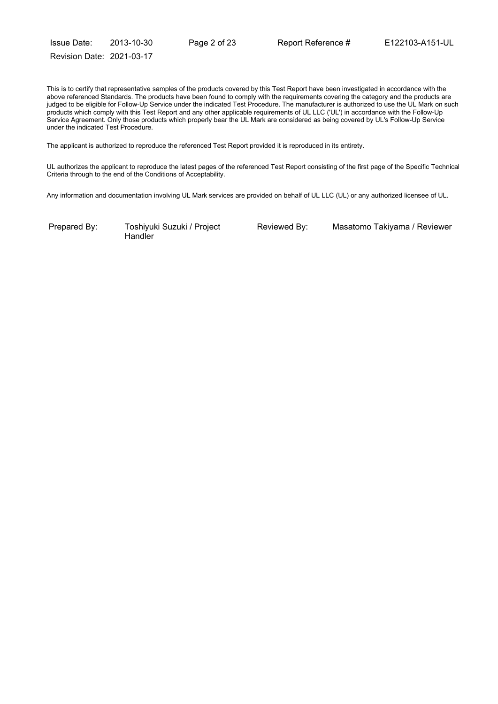Issue Date: 2013-10-30 Page 2 of 23 Report Reference # E122103-A151-UL Revision Date: 2021-03-17

This is to certify that representative samples of the products covered by this Test Report have been investigated in accordance with the above referenced Standards. The products have been found to comply with the requirements covering the category and the products are judged to be eligible for Follow-Up Service under the indicated Test Procedure. The manufacturer is authorized to use the UL Mark on such products which comply with this Test Report and any other applicable requirements of UL LLC ('UL') in accordance with the Follow-Up Service Agreement. Only those products which properly bear the UL Mark are considered as being covered by UL's Follow-Up Service under the indicated Test Procedure.

The applicant is authorized to reproduce the referenced Test Report provided it is reproduced in its entirety.

UL authorizes the applicant to reproduce the latest pages of the referenced Test Report consisting of the first page of the Specific Technical Criteria through to the end of the Conditions of Acceptability.

Any information and documentation involving UL Mark services are provided on behalf of UL LLC (UL) or any authorized licensee of UL.

Prepared By: Toshiyuki Suzuki / Project **Handler** 

Reviewed By: Masatomo Takiyama / Reviewer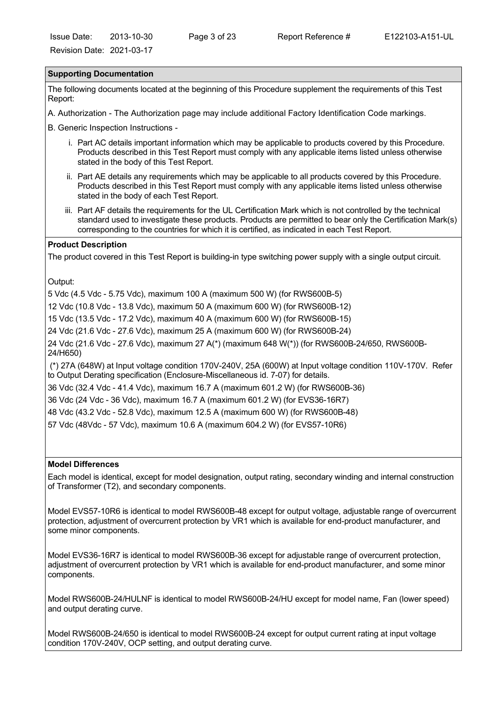#### **Supporting Documentation**

The following documents located at the beginning of this Procedure supplement the requirements of this Test Report:

A. Authorization - The Authorization page may include additional Factory Identification Code markings.

B. Generic Inspection Instructions -

- i. Part AC details important information which may be applicable to products covered by this Procedure. Products described in this Test Report must comply with any applicable items listed unless otherwise stated in the body of this Test Report.
- ii. Part AE details any requirements which may be applicable to all products covered by this Procedure. Products described in this Test Report must comply with any applicable items listed unless otherwise stated in the body of each Test Report.
- iii. Part AF details the requirements for the UL Certification Mark which is not controlled by the technical standard used to investigate these products. Products are permitted to bear only the Certification Mark(s) corresponding to the countries for which it is certified, as indicated in each Test Report.

#### **Product Description**

The product covered in this Test Report is building-in type switching power supply with a single output circuit.

Output:

5 Vdc (4.5 Vdc - 5.75 Vdc), maximum 100 A (maximum 500 W) (for RWS600B-5)

12 Vdc (10.8 Vdc - 13.8 Vdc), maximum 50 A (maximum 600 W) (for RWS600B-12)

15 Vdc (13.5 Vdc - 17.2 Vdc), maximum 40 A (maximum 600 W) (for RWS600B-15)

24 Vdc (21.6 Vdc - 27.6 Vdc), maximum 25 A (maximum 600 W) (for RWS600B-24)

24 Vdc (21.6 Vdc - 27.6 Vdc), maximum 27 A(\*) (maximum 648 W(\*)) (for RWS600B-24/650, RWS600B-24/H650)

 (\*) 27A (648W) at Input voltage condition 170V-240V, 25A (600W) at Input voltage condition 110V-170V. Refer to Output Derating specification (Enclosure-Miscellaneous id. 7-07) for details.

36 Vdc (32.4 Vdc - 41.4 Vdc), maximum 16.7 A (maximum 601.2 W) (for RWS600B-36)

36 Vdc (24 Vdc - 36 Vdc), maximum 16.7 A (maximum 601.2 W) (for EVS36-16R7)

48 Vdc (43.2 Vdc - 52.8 Vdc), maximum 12.5 A (maximum 600 W) (for RWS600B-48)

57 Vdc (48Vdc - 57 Vdc), maximum 10.6 A (maximum 604.2 W) (for EVS57-10R6)

#### **Model Differences**

Each model is identical, except for model designation, output rating, secondary winding and internal construction of Transformer (T2), and secondary components.

Model EVS57-10R6 is identical to model RWS600B-48 except for output voltage, adjustable range of overcurrent protection, adjustment of overcurrent protection by VR1 which is available for end-product manufacturer, and some minor components.

Model EVS36-16R7 is identical to model RWS600B-36 except for adjustable range of overcurrent protection, adjustment of overcurrent protection by VR1 which is available for end-product manufacturer, and some minor components.

Model RWS600B-24/HULNF is identical to model RWS600B-24/HU except for model name, Fan (lower speed) and output derating curve.

Model RWS600B-24/650 is identical to model RWS600B-24 except for output current rating at input voltage condition 170V-240V, OCP setting, and output derating curve.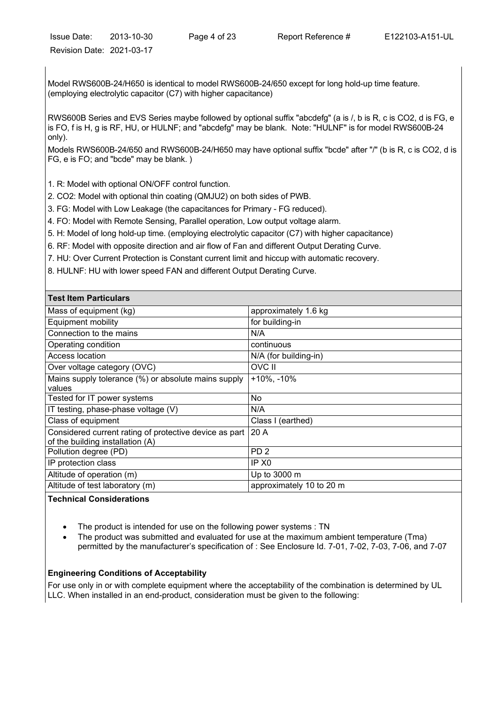Model RWS600B-24/H650 is identical to model RWS600B-24/650 except for long hold-up time feature. (employing electrolytic capacitor (C7) with higher capacitance)

RWS600B Series and EVS Series maybe followed by optional suffix "abcdefg" (a is /, b is R, c is CO2, d is FG, e is FO, f is H, g is RF, HU, or HULNF; and "abcdefg" may be blank. Note: "HULNF" is for model RWS600B-24 only).

Models RWS600B-24/650 and RWS600B-24/H650 may have optional suffix "bcde" after "/" (b is R, c is CO2, d is FG, e is FO; and "bcde" may be blank. )

1. R: Model with optional ON/OFF control function.

2. CO2: Model with optional thin coating (QMJU2) on both sides of PWB.

3. FG: Model with Low Leakage (the capacitances for Primary - FG reduced).

4. FO: Model with Remote Sensing, Parallel operation, Low output voltage alarm.

5. H: Model of long hold-up time. (employing electrolytic capacitor (C7) with higher capacitance)

6. RF: Model with opposite direction and air flow of Fan and different Output Derating Curve.

7. HU: Over Current Protection is Constant current limit and hiccup with automatic recovery.

8. HULNF: HU with lower speed FAN and different Output Derating Curve.

| <b>Test Item Particulars</b>                           |                          |
|--------------------------------------------------------|--------------------------|
| Mass of equipment (kg)                                 | approximately 1.6 kg     |
| <b>Equipment mobility</b>                              | for building-in          |
| Connection to the mains                                | N/A                      |
| Operating condition                                    | continuous               |
| Access location                                        | N/A (for building-in)    |
| Over voltage category (OVC)                            | OVC II                   |
| Mains supply tolerance (%) or absolute mains supply    | $+10\%$ , $-10\%$        |
| values                                                 |                          |
| Tested for IT power systems                            | No                       |
| IT testing, phase-phase voltage (V)                    | N/A                      |
| Class of equipment                                     | Class I (earthed)        |
| Considered current rating of protective device as part | 20A                      |
| of the building installation (A)                       |                          |
| Pollution degree (PD)                                  | PD <sub>2</sub>          |
| IP protection class                                    | IP X <sub>0</sub>        |
| Altitude of operation (m)                              | Up to 3000 m             |
| Altitude of test laboratory (m)                        | approximately 10 to 20 m |

**Technical Considerations** 

The product is intended for use on the following power systems : TN

· The product was submitted and evaluated for use at the maximum ambient temperature (Tma) permitted by the manufacturer's specification of : See Enclosure Id. 7-01, 7-02, 7-03, 7-06, and 7-07

### **Engineering Conditions of Acceptability**

For use only in or with complete equipment where the acceptability of the combination is determined by UL LLC. When installed in an end-product, consideration must be given to the following: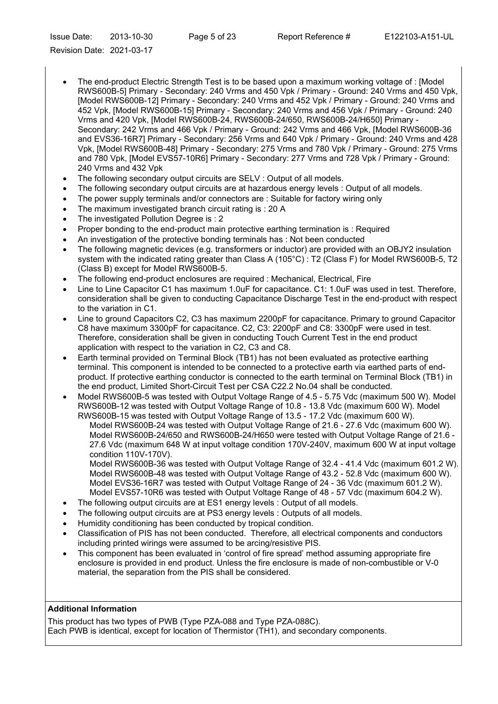Issue Date: 2013-10-30 Page 5 of 23 Report Reference # E122103-A151-UL Revision Date: 2021-03-17

· The end-product Electric Strength Test is to be based upon a maximum working voltage of : [Model RWS600B-5] Primary - Secondary: 240 Vrms and 450 Vpk / Primary - Ground: 240 Vrms and 450 Vpk, [Model RWS600B-12] Primary - Secondary: 240 Vrms and 452 Vpk / Primary - Ground: 240 Vrms and 452 Vpk, [Model RWS600B-15] Primary - Secondary: 240 Vrms and 456 Vpk / Primary - Ground: 240 Vrms and 420 Vpk, [Model RWS600B-24, RWS600B-24/650, RWS600B-24/H650] Primary - Secondary: 242 Vrms and 466 Vpk / Primary - Ground: 242 Vrms and 466 Vpk, [Model RWS600B-36 and EVS36-16R7] Primary - Secondary: 256 Vrms and 640 Vpk / Primary - Ground: 240 Vrms and 428 Vpk, [Model RWS600B-48] Primary - Secondary: 275 Vrms and 780 Vpk / Primary - Ground: 275 Vrms and 780 Vpk, [Model EVS57-10R6] Primary - Secondary: 277 Vrms and 728 Vpk / Primary - Ground: 240 Vrms and 432 Vpk

- The following secondary output circuits are SELV : Output of all models.
- · The following secondary output circuits are at hazardous energy levels : Output of all models.
- · The power supply terminals and/or connectors are : Suitable for factory wiring only
- · The maximum investigated branch circuit rating is : 20 A
- · The investigated Pollution Degree is : 2
- · Proper bonding to the end-product main protective earthing termination is : Required
- · An investigation of the protective bonding terminals has : Not been conducted
- · The following magnetic devices (e.g. transformers or inductor) are provided with an OBJY2 insulation system with the indicated rating greater than Class A (105°C) : T2 (Class F) for Model RWS600B-5, T2 (Class B) except for Model RWS600B-5.
- The following end-product enclosures are required : Mechanical, Electrical, Fire
- Line to Line Capacitor C1 has maximum 1.0uF for capacitance. C1: 1.0uF was used in test. Therefore, consideration shall be given to conducting Capacitance Discharge Test in the end-product with respect to the variation in C1.
- · Line to ground Capacitors C2, C3 has maximum 2200pF for capacitance. Primary to ground Capacitor C8 have maximum 3300pF for capacitance. C2, C3: 2200pF and C8: 3300pF were used in test. Therefore, consideration shall be given in conducting Touch Current Test in the end product application with respect to the variation in C2, C3 and C8.
- Earth terminal provided on Terminal Block (TB1) has not been evaluated as protective earthing terminal. This component is intended to be connected to a protective earth via earthed parts of endproduct. If protective earthing conductor is connected to the earth terminal on Terminal Block (TB1) in the end product, Limited Short-Circuit Test per CSA C22.2 No.04 shall be conducted.
- · Model RWS600B-5 was tested with Output Voltage Range of 4.5 5.75 Vdc (maximum 500 W). Model RWS600B-12 was tested with Output Voltage Range of 10.8 - 13.8 Vdc (maximum 600 W). Model RWS600B-15 was tested with Output Voltage Range of 13.5 - 17.2 Vdc (maximum 600 W).

Model RWS600B-24 was tested with Output Voltage Range of 21.6 - 27.6 Vdc (maximum 600 W). Model RWS600B-24/650 and RWS600B-24/H650 were tested with Output Voltage Range of 21.6 - 27.6 Vdc (maximum 648 W at input voltage condition 170V-240V, maximum 600 W at input voltage condition 110V-170V).

Model RWS600B-36 was tested with Output Voltage Range of 32.4 - 41.4 Vdc (maximum 601.2 W). Model RWS600B-48 was tested with Output Voltage Range of 43.2 - 52.8 Vdc (maximum 600 W). Model EVS36-16R7 was tested with Output Voltage Range of 24 - 36 Vdc (maximum 601.2 W). Model EVS57-10R6 was tested with Output Voltage Range of 48 - 57 Vdc (maximum 604.2 W).

- · The following output circuits are at ES1 energy levels : Output of all models.
- The following output circuits are at PS3 energy levels : Outputs of all models.
- Humidity conditioning has been conducted by tropical condition.
- · Classification of PIS has not been conducted. Therefore, all electrical components and conductors including printed wirings were assumed to be arcing/resistive PIS.
- · This component has been evaluated in 'control of fire spread' method assuming appropriate fire enclosure is provided in end product. Unless the fire enclosure is made of non-combustible or V-0 material, the separation from the PIS shall be considered.

# **Additional Information**

This product has two types of PWB (Type PZA-088 and Type PZA-088C). Each PWB is identical, except for location of Thermistor (TH1), and secondary components.